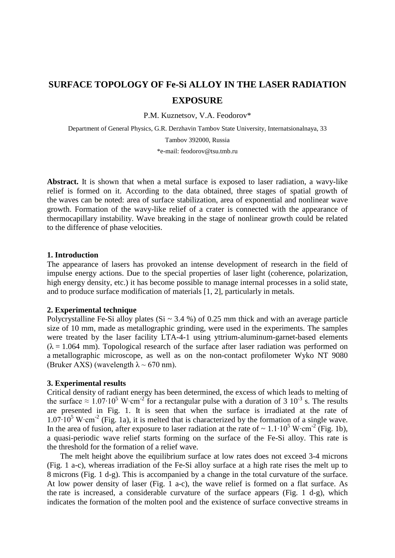# **SURFACE TOPOLOGY OF Fe-Si ALLOY IN THE LASER RADIATION EXPOSURE**

P.M. Kuznetsov, V.A. Feodorov\*

Department of General Physics, G.R. Derzhavin Tambov State University, Internatsionalnaya, 33 Tambov 392000, Russia

\*e-mail: feodorov@tsu.tmb.ru

**Abstract.** It is shown that when a metal surface is exposed to laser radiation, a wavy-like relief is formed on it. According to the data obtained, three stages of spatial growth of the waves can be noted: area of surface stabilization, area of exponential and nonlinear wave growth. Formation of the wavy-like relief of a crater is connected with the appearance of thermocapillary instability. Wave breaking in the stage of nonlinear growth could be related to the difference of phase velocities.

## **1. Introduction**

The appearance of lasers has provoked an intense development of research in the field of impulse energy actions. Due to the special properties of laser light (coherence, polarization, high energy density, etc.) it has become possible to manage internal processes in a solid state, and to produce surface modification of materials [1, 2], particularly in metals.

### **2. Experimental technique**

Polycrystalline Fe-Si alloy plates  $(Si \sim 3.4 \%)$  of 0.25 mm thick and with an average particle size of 10 mm, made as metallographic grinding, were used in the experiments. The samples were treated by the laser facility LTA-4-1 using yttrium-aluminum-garnet-based elements  $(\lambda = 1.064$  mm). Topological research of the surface after laser radiation was performed on a metallographic microscope, as well as on the non-contact profilometer Wyko NT 9080 (Bruker AXS) (wavelength  $\lambda \sim 670$  nm).

## **3. Experimental results**

Critical density of radiant energy has been determined, the excess of which leads to melting of the surface ≈ 1.07⋅10<sup>5</sup> W⋅cm<sup>-2</sup> for a rectangular pulse with a duration of 3 10<sup>-3</sup> s. The results are presented in Fig. 1. It is seen that when the surface is irradiated at the rate of  $1.07 \cdot 10^5$  W⋅cm<sup>-2</sup> (Fig. 1a), it is melted that is characterized by the formation of a single wave. In the area of fusion, after exposure to laser radiation at the rate of ~ 1.1⋅10<sup>5</sup> W⋅cm<sup>-2</sup> (Fig. 1b), a quasi-periodic wave relief starts forming on the surface of the Fe-Si alloy. This rate is the threshold for the formation of a relief wave.

The melt height above the equilibrium surface at low rates does not exceed 3-4 microns (Fig. 1 a-c), whereas irradiation of the Fe-Si alloy surface at a high rate rises the melt up to 8 microns (Fig. 1 d-g). This is accompanied by a change in the total curvature of the surface. At low power density of laser (Fig. 1 a-c), the wave relief is formed on a flat surface. As the rate is increased, a considerable curvature of the surface appears (Fig. 1 d-g), which indicates the formation of the molten pool and the existence of surface convective streams in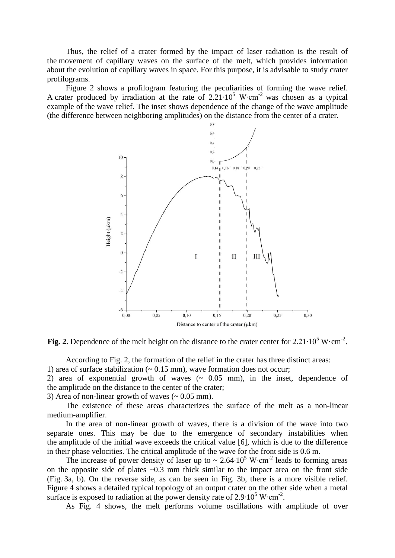Thus, the relief of a crater formed by the impact of laser radiation is the result of the movement of capillary waves on the surface of the melt, which provides information about the evolution of capillary waves in space. For this purpose, it is advisable to study crater profilograms.

Figure 2 shows a profilogram featuring the peculiarities of forming the wave relief. A crater produced by irradiation at the rate of  $2.21 \cdot 10^5$  W⋅cm<sup>-2</sup> was chosen as a typical example of the wave relief. The inset shows dependence of the change of the wave amplitude (the difference between neighboring amplitudes) on the distance from the center of a crater.



**Fig. 2.** Dependence of the melt height on the distance to the crater center for  $2.21 \cdot 10^5$  W $\cdot$ cm<sup>-2</sup>.

According to Fig. 2, the formation of the relief in the crater has three distinct areas: 1) area of surface stabilization  $($   $\sim$  0.15 mm), wave formation does not occur;

2) area of exponential growth of waves  $\sim$  0.05 mm), in the inset, dependence of the amplitude on the distance to the center of the crater;

3) Area of non-linear growth of waves  $($   $\sim$  0.05 mm).

The existence of these areas characterizes the surface of the melt as a non-linear medium-amplifier.

In the area of non-linear growth of waves, there is a division of the wave into two separate ones. This may be due to the emergence of secondary instabilities when the amplitude of the initial wave exceeds the critical value [6], which is due to the difference in their phase velocities. The critical amplitude of the wave for the front side is 0.6 m.

The increase of power density of laser up to ~ 2.64⋅10<sup>5</sup> W⋅cm<sup>-2</sup> leads to forming areas on the opposite side of plates ~0.3 mm thick similar to the impact area on the front side (Fig. 3a, b). On the reverse side, as can be seen in Fig. 3b, there is a more visible relief. Figure 4 shows a detailed typical topology of an output crater on the other side when a metal surface is exposed to radiation at the power density rate of 2.9⋅10<sup>5</sup> W⋅cm<sup>-2</sup>.

As Fig. 4 shows, the melt performs volume oscillations with amplitude of over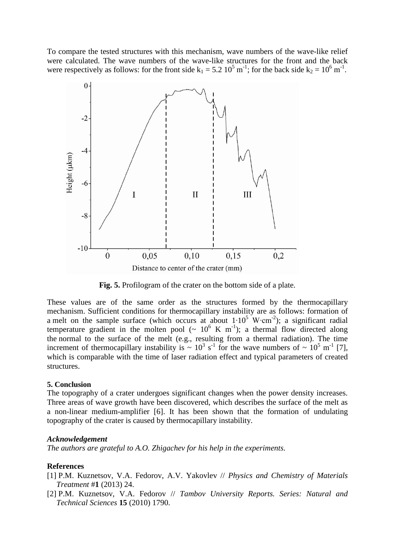To compare the tested structures with this mechanism, wave numbers of the wave-like relief were calculated. The wave numbers of the wave-like structures for the front and the back were respectively as follows: for the front side  $k_1 = 5.2 \times 10^5 \text{ m}^{-1}$ ; for the back side  $k_2 = 10^6 \text{ m}^{-1}$ .



**Fig. 5.** Profilogram of the crater on the bottom side of a plate.

These values are of the same order as the structures formed by the thermocapillary mechanism. Sufficient conditions for thermocapillary instability are as follows: formation of a melt on the sample surface (which occurs at about  $1 \cdot 10^5$  W⋅cm<sup>-2</sup>); a significant radial temperature gradient in the molten pool ( $\sim 10^6$  K m<sup>-1</sup>); a thermal flow directed along the normal to the surface of the melt (e.g., resulting from a thermal radiation). The time increment of thermocapillary instability is  $\sim 10^3$  s<sup>-1</sup> for the wave numbers of  $\sim 10^5$  m<sup>-1</sup> [7], which is comparable with the time of laser radiation effect and typical parameters of created structures.

## **5. Conclusion**

The topography of a crater undergoes significant changes when the power density increases. Three areas of wave growth have been discovered, which describes the surface of the melt as a non-linear medium-amplifier [6]. It has been shown that the formation of undulating topography of the crater is caused by thermocapillary instability.

### *Acknowledgement*

*The authors are grateful to A.O. Zhigachev for his help in the experiments.* 

### **References**

- [1] P.M. Kuznetsov, V.A. Fedorov, A.V. Yakovlev // *Physics and Chemistry of Materials Treatment* #**1** (2013) 24.
- [2] P.M. Kuznetsov, V.A. Fedorov // *Tambov University Reports. Series: Natural and Technical Sciences* **15** (2010) 1790.